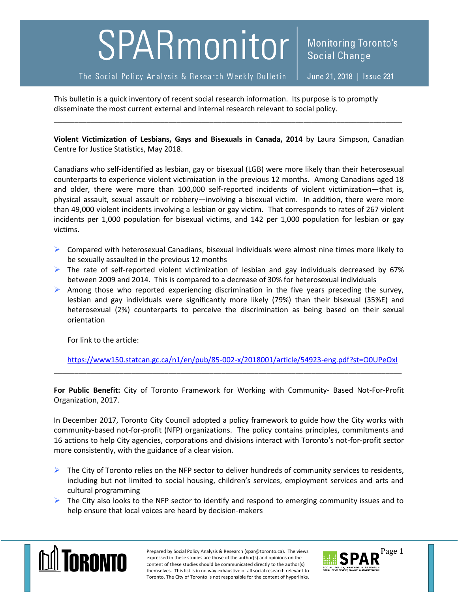## SPARmonitor

The Social Policy Analysis & Research Weekly Bulletin

This bulletin is a quick inventory of recent social research information. Its purpose is to promptly disseminate the most current external and internal research relevant to social policy.

**Violent Victimization of Lesbians, Gays and Bisexuals in Canada, 2014** by Laura Simpson, Canadian Centre for Justice Statistics, May 2018.

\_\_\_\_\_\_\_\_\_\_\_\_\_\_\_\_\_\_\_\_\_\_\_\_\_\_\_\_\_\_\_\_\_\_\_\_\_\_\_\_\_\_\_\_\_\_\_\_\_\_\_\_\_\_\_\_\_\_\_\_\_\_\_\_\_\_\_\_\_\_\_\_\_\_\_\_\_\_\_\_\_\_\_\_\_

Canadians who self-identified as lesbian, gay or bisexual (LGB) were more likely than their heterosexual counterparts to experience violent victimization in the previous 12 months. Among Canadians aged 18 and older, there were more than 100,000 self-reported incidents of violent victimization—that is, physical assault, sexual assault or robbery—involving a bisexual victim. In addition, there were more than 49,000 violent incidents involving a lesbian or gay victim. That corresponds to rates of 267 violent incidents per 1,000 population for bisexual victims, and 142 per 1,000 population for lesbian or gay victims.

- $\triangleright$  Compared with heterosexual Canadians, bisexual individuals were almost nine times more likely to be sexually assaulted in the previous 12 months
- $\triangleright$  The rate of self-reported violent victimization of lesbian and gay individuals decreased by 67% between 2009 and 2014. This is compared to a decrease of 30% for heterosexual individuals
- $\triangleright$  Among those who reported experiencing discrimination in the five years preceding the survey, lesbian and gay individuals were significantly more likely (79%) than their bisexual (35%E) and heterosexual (2%) counterparts to perceive the discrimination as being based on their sexual orientation

For link to the article:

<https://www150.statcan.gc.ca/n1/en/pub/85-002-x/2018001/article/54923-eng.pdf?st=O0UPeOxI>

**For Public Benefit:** City of Toronto Framework for Working with Community- Based Not-For-Profit Organization, 2017.

\_\_\_\_\_\_\_\_\_\_\_\_\_\_\_\_\_\_\_\_\_\_\_\_\_\_\_\_\_\_\_\_\_\_\_\_\_\_\_\_\_\_\_\_\_\_\_\_\_\_\_\_\_\_\_\_\_\_\_\_\_\_\_\_\_\_\_\_\_\_\_\_\_\_\_\_\_\_\_\_\_\_\_\_\_

In December 2017, Toronto City Council adopted a policy framework to guide how the City works with community-based not-for-profit (NFP) organizations. The policy contains principles, commitments and 16 actions to help City agencies, corporations and divisions interact with Toronto's not-for-profit sector more consistently, with the guidance of a clear vision.

- $\triangleright$  The City of Toronto relies on the NFP sector to deliver hundreds of community services to residents, including but not limited to social housing, children's services, employment services and arts and cultural programming
- $\triangleright$  The City also looks to the NFP sector to identify and respond to emerging community issues and to help ensure that local voices are heard by decision-makers



Prepared by Social Policy Analysis & Research (spar@toronto.ca). The views Page 1 expressed in these studies are those of the author(s) and opinions on the content of these studies should be communicated directly to the author(s) themselves. This list is in no way exhaustive of all social research relevant to Toronto. The City of Toronto is not responsible for the content of hyperlinks.

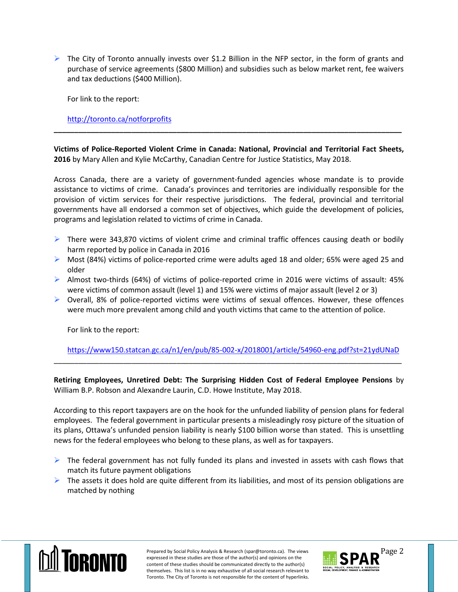$\triangleright$  The City of Toronto annually invests over \$1.2 Billion in the NFP sector, in the form of grants and purchase of service agreements (\$800 Million) and subsidies such as below market rent, fee waivers and tax deductions (\$400 Million).

For link to the report:

<http://toronto.ca/notforprofits>

**Victims of Police-Reported Violent Crime in Canada: National, Provincial and Territorial Fact Sheets, 2016** by Mary Allen and Kylie McCarthy, Canadian Centre for Justice Statistics, May 2018.

**\_\_\_\_\_\_\_\_\_\_\_\_\_\_\_\_\_\_\_\_\_\_\_\_\_\_\_\_\_\_\_\_\_\_\_\_\_\_\_\_\_\_\_\_\_\_\_\_\_\_\_\_\_\_\_\_\_\_\_\_\_\_\_\_\_\_\_\_\_\_\_\_\_\_\_\_\_\_\_\_\_\_\_\_\_**

Across Canada, there are a variety of government-funded agencies whose mandate is to provide assistance to victims of crime. Canada's provinces and territories are individually responsible for the provision of victim services for their respective jurisdictions. The federal, provincial and territorial governments have all endorsed a common set of objectives, which guide the development of policies, programs and legislation related to victims of crime in Canada.

- $\triangleright$  There were 343,870 victims of violent crime and criminal traffic offences causing death or bodily harm reported by police in Canada in 2016
- $\triangleright$  Most (84%) victims of police-reported crime were adults aged 18 and older; 65% were aged 25 and older
- $\triangleright$  Almost two-thirds (64%) of victims of police-reported crime in 2016 were victims of assault: 45% were victims of common assault (level 1) and 15% were victims of major assault (level 2 or 3)
- $\triangleright$  Overall, 8% of police-reported victims were victims of sexual offences. However, these offences were much more prevalent among child and youth victims that came to the attention of police.

For link to the report:

<https://www150.statcan.gc.ca/n1/en/pub/85-002-x/2018001/article/54960-eng.pdf?st=21ydUNaD>

**Retiring Employees, Unretired Debt: The Surprising Hidden Cost of Federal Employee Pensions** by William B.P. Robson and Alexandre Laurin, C.D. Howe Institute, May 2018.

\_\_\_\_\_\_\_\_\_\_\_\_\_\_\_\_\_\_\_\_\_\_\_\_\_\_\_\_\_\_\_\_\_\_\_\_\_\_\_\_\_\_\_\_\_\_\_\_\_\_\_\_\_\_\_\_\_\_\_\_\_\_\_\_\_\_\_\_\_\_\_\_\_\_\_\_\_\_\_\_\_\_\_\_\_

According to this report taxpayers are on the hook for the unfunded liability of pension plans for federal employees. The federal government in particular presents a misleadingly rosy picture of the situation of its plans, Ottawa's unfunded pension liability is nearly \$100 billion worse than stated. This is unsettling news for the federal employees who belong to these plans, as well as for taxpayers.

- $\triangleright$  The federal government has not fully funded its plans and invested in assets with cash flows that match its future payment obligations
- $\triangleright$  The assets it does hold are quite different from its liabilities, and most of its pension obligations are matched by nothing